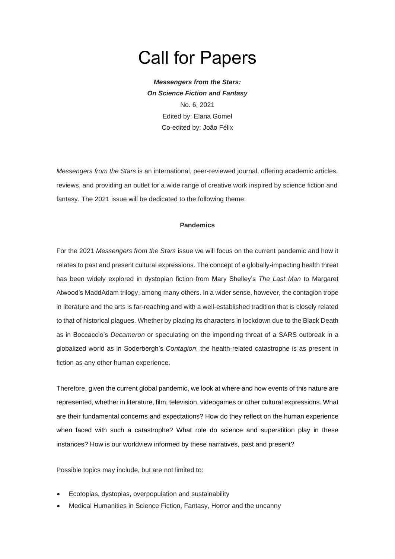## Call for Papers

*Messengers from the Stars: On Science Fiction and Fantasy* No. 6, 2021 Edited by: Elana Gomel Co-edited by: João Félix

*Messengers from the Stars* is an international, peer-reviewed journal, offering academic articles, reviews, and providing an outlet for a wide range of creative work inspired by science fiction and fantasy. The 2021 issue will be dedicated to the following theme:

## **Pandemics**

For the 2021 *Messengers from the Stars* issue we will focus on the current pandemic and how it relates to past and present cultural expressions. The concept of a globally-impacting health threat has been widely explored in dystopian fiction from Mary Shelley's *The Last Man* to Margaret Atwood's MaddAdam trilogy, among many others. In a wider sense, however, the contagion trope in literature and the arts is far-reaching and with a well-established tradition that is closely related to that of historical plagues. Whether by placing its characters in lockdown due to the Black Death as in Boccaccio's *Decameron* or speculating on the impending threat of a SARS outbreak in a globalized world as in Soderbergh's *Contagion*, the health-related catastrophe is as present in fiction as any other human experience.

Therefore, given the current global pandemic, we look at where and how events of this nature are represented, whether in literature, film, television, videogames or other cultural expressions. What are their fundamental concerns and expectations? How do they reflect on the human experience when faced with such a catastrophe? What role do science and superstition play in these instances? How is our worldview informed by these narratives, past and present?

Possible topics may include, but are not limited to:

- Ecotopias, dystopias, overpopulation and sustainability
- Medical Humanities in Science Fiction, Fantasy, Horror and the uncanny